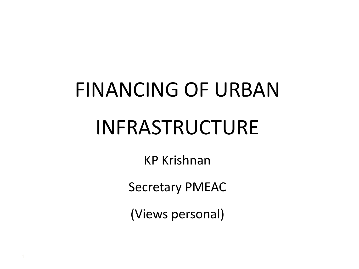# FINANCING OF URBAN INFRASTRUCTURE

KP Krishnan

Secretary PMEAC

(Views personal)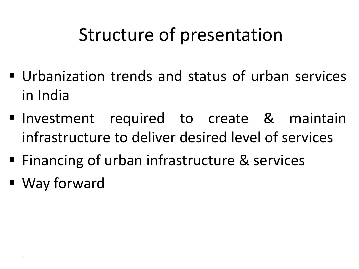### Structure of presentation

- Urbanization trends and status of urban services in India
- **Investment required to create & maintain** infrastructure to deliver desired level of services
- Financing of urban infrastructure & services
- Way forward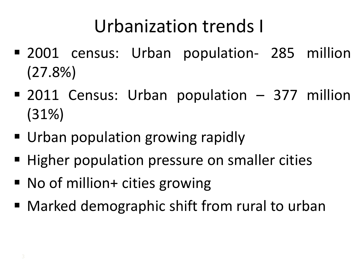### Urbanization trends I

- **2001** census: Urban population- 285 million (27.8%)
- 2011 Census: Urban population 377 million (31%)
- Urban population growing rapidly
- Higher population pressure on smaller cities
- No of million+ cities growing
- Marked demographic shift from rural to urban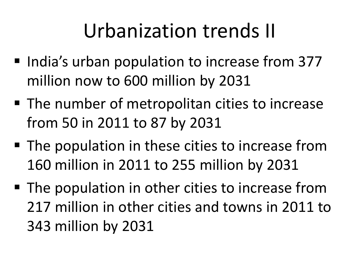## Urbanization trends II

- India's urban population to increase from 377 million now to 600 million by 2031
- The number of metropolitan cities to increase from 50 in 2011 to 87 by 2031
- The population in these cities to increase from 160 million in 2011 to 255 million by 2031
- The population in other cities to increase from 217 million in other cities and towns in 2011 to 343 million by 2031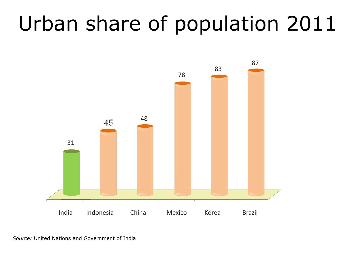## Urban share of population 2011



*Source:* United Nations and Government of India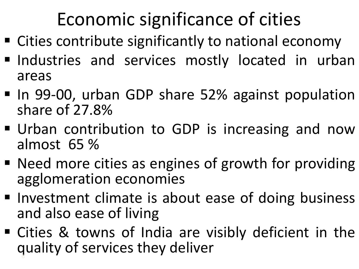### Economic significance of cities

- Cities contribute significantly to national economy
- Industries and services mostly located in urban areas
- In 99-00, urban GDP share 52% against population share of 27.8%
- Urban contribution to GDP is increasing and now almost 65 %
- Need more cities as engines of growth for providing agglomeration economies
- Investment climate is about ease of doing business and also ease of living
- Cities & towns of India are visibly deficient in the quality of services they deliver 6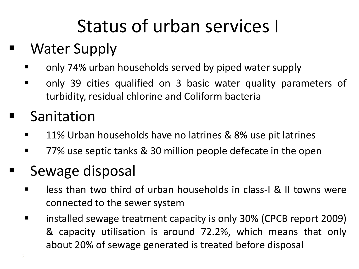### Status of urban services I

#### ■ Water Supply

- **Theory 74% urban households served by piped water supply**
- only 39 cities qualified on 3 basic water quality parameters of turbidity, residual chlorine and Coliform bacteria

#### Sanitation

- **11% Urban households have no latrines & 8% use pit latrines**
- **The 27%** use septic tanks & 30 million people defecate in the open

#### Sewage disposal

- **EXT** less than two third of urban households in class-I & II towns were connected to the sewer system
- **E** installed sewage treatment capacity is only 30% (CPCB report 2009) & capacity utilisation is around 72.2%, which means that only about 20% of sewage generated is treated before disposal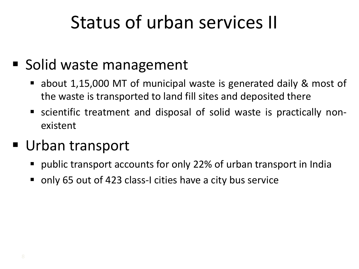### Status of urban services II

#### ■ Solid waste management

- about 1,15,000 MT of municipal waste is generated daily & most of the waste is transported to land fill sites and deposited there
- scientific treatment and disposal of solid waste is practically nonexistent

#### ■ Urban transport

- public transport accounts for only 22% of urban transport in India
- only 65 out of 423 class-I cities have a city bus service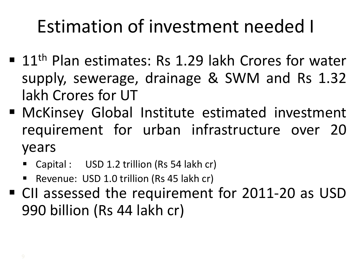### Estimation of investment needed I

- $\blacksquare$  11<sup>th</sup> Plan estimates: Rs 1.29 lakh Crores for water supply, sewerage, drainage & SWM and Rs 1.32 lakh Crores for UT
- McKinsey Global Institute estimated investment requirement for urban infrastructure over 20 years
	- Capital : USD 1.2 trillion (Rs 54 lakh cr)
	- Revenue: USD 1.0 trillion (Rs 45 lakh cr)
- CII assessed the requirement for 2011-20 as USD 990 billion (Rs 44 lakh cr)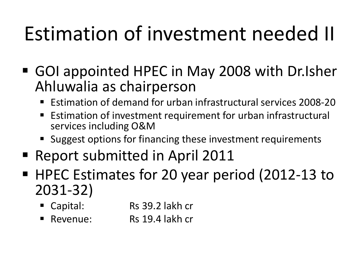## Estimation of investment needed II

- GOI appointed HPEC in May 2008 with Dr.Isher Ahluwalia as chairperson
	- Estimation of demand for urban infrastructural services 2008-20
	- Estimation of investment requirement for urban infrastructural services including O&M
	- **Suggest options for financing these investment requirements**
- Report submitted in April 2011
- HPEC Estimates for 20 year period (2012-13 to 2031-32)
	- Capital: Rs 39.2 lakh cr
	- Revenue: Rs 19.4 lakh cr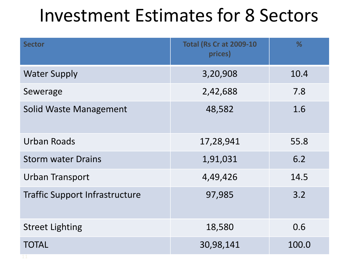#### Investment Estimates for 8 Sectors

| <b>Sector</b>                         | <b>Total (Rs Cr at 2009-10)</b><br>prices) | %     |
|---------------------------------------|--------------------------------------------|-------|
| <b>Water Supply</b>                   | 3,20,908                                   | 10.4  |
| Sewerage                              | 2,42,688                                   | 7.8   |
| <b>Solid Waste Management</b>         | 48,582                                     | 1.6   |
| Urban Roads                           | 17,28,941                                  | 55.8  |
| <b>Storm water Drains</b>             | 1,91,031                                   | 6.2   |
| <b>Urban Transport</b>                | 4,49,426                                   | 14.5  |
| <b>Traffic Support Infrastructure</b> | 97,985                                     | 3.2   |
| <b>Street Lighting</b>                | 18,580                                     | 0.6   |
| <b>TOTAL</b>                          | 30,98,141                                  | 100.0 |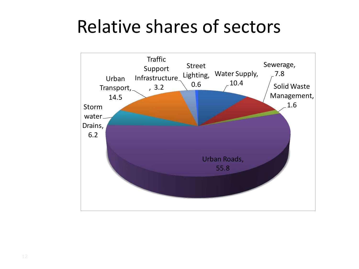#### Relative shares of sectors

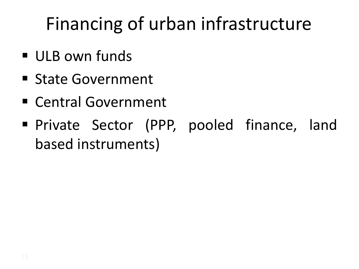### Financing of urban infrastructure

- ULB own funds
- **State Government**
- Central Government
- **Private Sector (PPP, pooled finance, land** based instruments)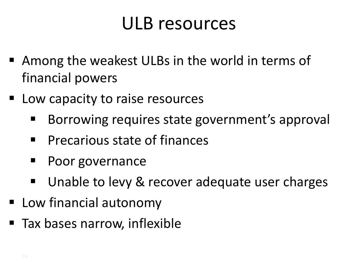#### ULB resources

- Among the weakest ULBs in the world in terms of financial powers
- Low capacity to raise resources
	- Borrowing requires state government's approval
	- **Precarious state of finances**
	- **Poor governance**
	- Unable to levy & recover adequate user charges
- Low financial autonomy
- Tax bases narrow, inflexible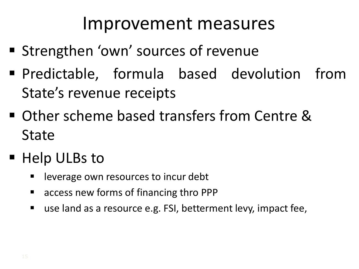#### Improvement measures

- Strengthen 'own' sources of revenue
- Predictable, formula based devolution from State's revenue receipts
- Other scheme based transfers from Centre & State
- Help ULBs to
	- **E** leverage own resources to incur debt
	- access new forms of financing thro PPP
	- use land as a resource e.g. FSI, betterment levy, impact fee,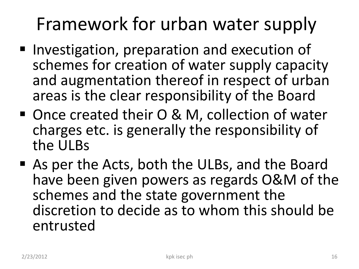### Framework for urban water supply

- Investigation, preparation and execution of schemes for creation of water supply capacity and augmentation thereof in respect of urban areas is the clear responsibility of the Board
- Once created their O & M, collection of water charges etc. is generally the responsibility of the ULBs
- As per the Acts, both the ULBs, and the Board have been given powers as regards O&M of the schemes and the state government the discretion to decide as to whom this should be entrusted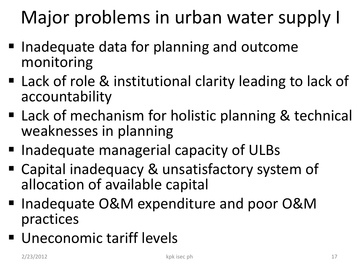## Major problems in urban water supply I

- **Inadequate data for planning and outcome** monitoring
- Lack of role & institutional clarity leading to lack of accountability
- Lack of mechanism for holistic planning & technical weaknesses in planning
- Inadequate managerial capacity of ULBs
- Capital inadequacy & unsatisfactory system of allocation of available capital
- Inadequate O&M expenditure and poor O&M practices
- **Uneconomic tariff levels**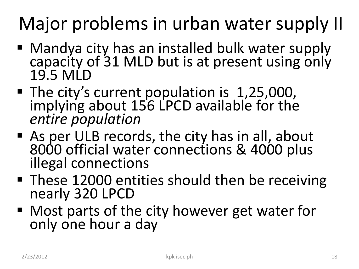## Major problems in urban water supply II

- Mandya city has an installed bulk water supply capacity of 31 MLD but is at present using only 19.5 MLD
- The city's current population is 1,25,000, implying about 156 LPCD available for the *entire population*
- As per ULB records, the city has in all, about 8000 official water connections & 4000 plus illegal connections
- These 12000 entities should then be receiving nearly 320 LPCD
- Most parts of the city however get water for only one hour a day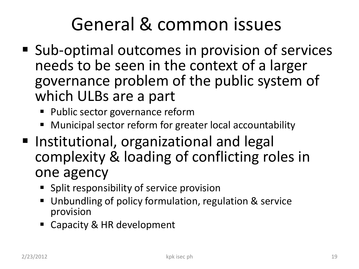### General & common issues

- Sub-optimal outcomes in provision of services needs to be seen in the context of a larger governance problem of the public system of which ULBs are a part
	- **Public sector governance reform**
	- Municipal sector reform for greater local accountability
- Institutional, organizational and legal complexity & loading of conflicting roles in one agency
	- **Split responsibility of service provision**
	- Unbundling of policy formulation, regulation & service provision
	- Capacity & HR development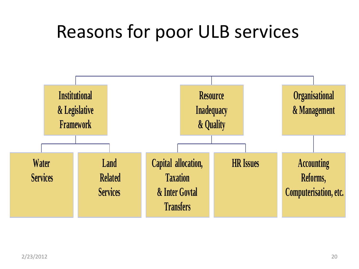#### Reasons for poor ULB services

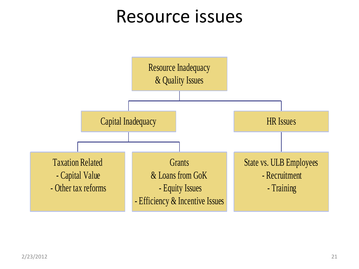#### Resource issues

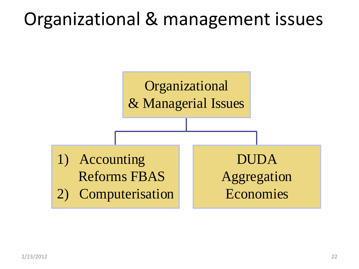#### Organizational & management issues

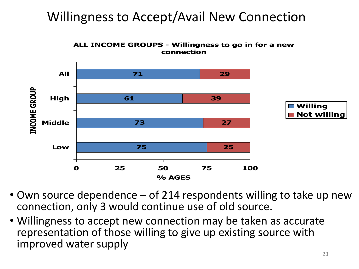#### Willingness to Accept/Avail New Connection

**ALL INCOME GROUPS - Willingness to go in for a new connection**



- Own source dependence of 214 respondents willing to take up new connection, only 3 would continue use of old source.
- Willingness to accept new connection may be taken as accurate representation of those willing to give up existing source with improved water supply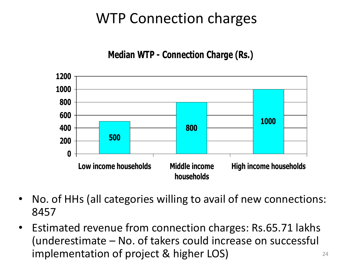#### WTP Connection charges

#### **Median WTP - Connection Charge (Rs.)**

![](_page_23_Figure_2.jpeg)

- No. of HHs (all categories willing to avail of new connections: 8457
- Estimated revenue from connection charges: Rs.65.71 lakhs (underestimate – No. of takers could increase on successful implementation of project & higher LOS)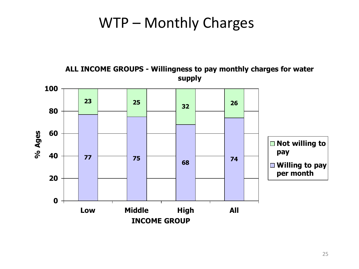#### WTP – Monthly Charges

![](_page_24_Figure_1.jpeg)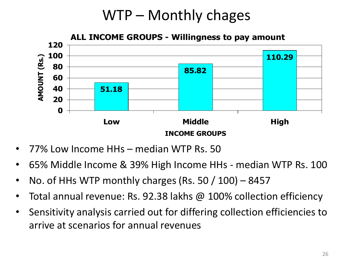#### WTP – Monthly chages

![](_page_25_Figure_1.jpeg)

- 77% Low Income HHs median WTP Rs. 50
- 65% Middle Income & 39% High Income HHs median WTP Rs. 100
- No. of HHs WTP monthly charges (Rs. 50  $/$  100) 8457
- Total annual revenue: Rs. 92.38 lakhs @ 100% collection efficiency
- Sensitivity analysis carried out for differing collection efficiencies to arrive at scenarios for annual revenues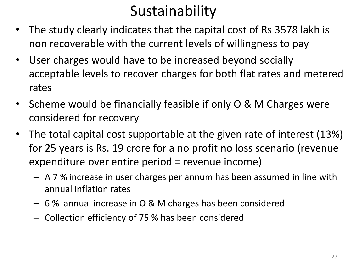#### Sustainability

- The study clearly indicates that the capital cost of Rs 3578 lakh is non recoverable with the current levels of willingness to pay
- User charges would have to be increased beyond socially acceptable levels to recover charges for both flat rates and metered rates
- Scheme would be financially feasible if only O & M Charges were considered for recovery
- The total capital cost supportable at the given rate of interest (13%) for 25 years is Rs. 19 crore for a no profit no loss scenario (revenue expenditure over entire period = revenue income)
	- A 7 % increase in user charges per annum has been assumed in line with annual inflation rates
	- 6 % annual increase in O & M charges has been considered
	- Collection efficiency of 75 % has been considered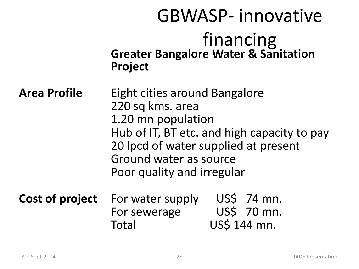|                     | <b>GBWASP-innovative</b>                                                                                                                                                                                               |                                            |
|---------------------|------------------------------------------------------------------------------------------------------------------------------------------------------------------------------------------------------------------------|--------------------------------------------|
|                     | financing<br><b>Greater Bangalore Water &amp; Sanitation</b><br><b>Project</b>                                                                                                                                         |                                            |
| <b>Area Profile</b> | Eight cities around Bangalore<br>220 sq kms. area<br>1.20 mn population<br>Hub of IT, BT etc. and high capacity to pay<br>20 lpcd of water supplied at present<br>Ground water as source<br>Poor quality and irregular |                                            |
| Cost of project     | For water supply<br>For sewerage<br>Total                                                                                                                                                                              | US\$ 74 mn.<br>US\$ 70 mn.<br>US\$ 144 mn. |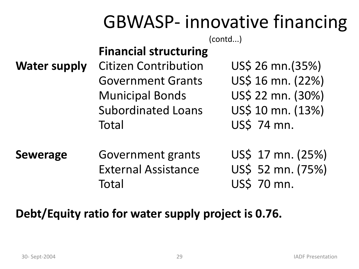#### GBWASP- innovative financing

(contd...)

#### **Financial structuring**

**Water supply** Citizen Contribution US\$ 26 mn.(35%) Government Grants US\$ 16 mn. (22%) Municipal Bonds US\$ 22 mn. (30%) Subordinated Loans US\$ 10 mn. (13%) Total US\$ 74 mn.

**Sewerage** Government grants US\$ 17 mn. (25%) External Assistance US\$ 52 mn. (75%) Total US\$ 70 mn.

#### **Debt/Equity ratio for water supply project is 0.76.**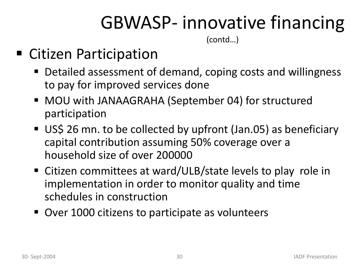### GBWASP- innovative financing

(contd…)

#### ■ Citizen Participation

- Detailed assessment of demand, coping costs and willingness to pay for improved services done
- MOU with JANAAGRAHA (September 04) for structured participation
- US\$ 26 mn. to be collected by upfront (Jan.05) as beneficiary capital contribution assuming 50% coverage over a household size of over 200000
- Citizen committees at ward/ULB/state levels to play role in implementation in order to monitor quality and time schedules in construction
- Over 1000 citizens to participate as volunteers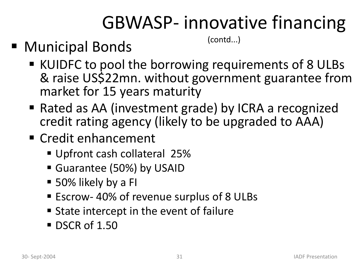### GBWASP- innovative financing

■ Municipal Bonds

(contd...)

- KUIDFC to pool the borrowing requirements of 8 ULBs & raise US\$22mn. without government guarantee from market for 15 years maturity
- Rated as AA (investment grade) by ICRA a recognized credit rating agency (likely to be upgraded to AAA)
- Credit enhancement
	- Upfront cash collateral 25%
	- Guarantee (50%) by USAID
	- 50% likely by a FI
	- Escrow- 40% of revenue surplus of 8 ULBs
	- **State intercept in the event of failure**
	- DSCR of 1.50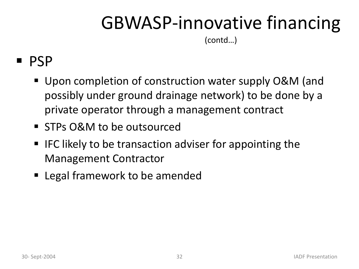### GBWASP-innovative financing

(contd…)

#### PSP

- Upon completion of construction water supply O&M (and possibly under ground drainage network) to be done by a private operator through a management contract
- **STPs O&M to be outsourced**
- $\blacksquare$  IFC likely to be transaction adviser for appointing the Management Contractor
- **Example 1** Legal framework to be amended